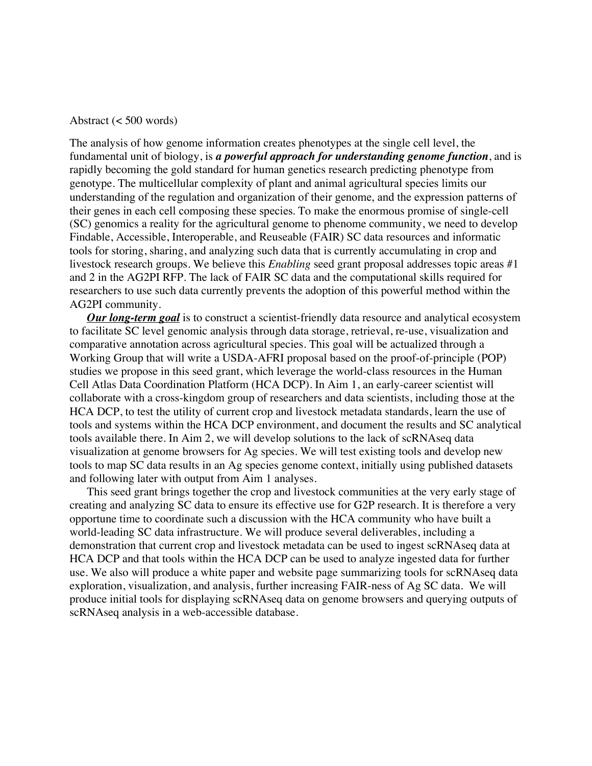#### Abstract (< 500 words)

The analysis of how genome information creates phenotypes at the single cell level, the fundamental unit of biology, is *a powerful approach for understanding genome function*, and is rapidly becoming the gold standard for human genetics research predicting phenotype from genotype. The multicellular complexity of plant and animal agricultural species limits our understanding of the regulation and organization of their genome, and the expression patterns of their genes in each cell composing these species. To make the enormous promise of single-cell (SC) genomics a reality for the agricultural genome to phenome community, we need to develop Findable, Accessible, Interoperable, and Reuseable (FAIR) SC data resources and informatic tools for storing, sharing, and analyzing such data that is currently accumulating in crop and livestock research groups. We believe this *Enabling* seed grant proposal addresses topic areas #1 and 2 in the AG2PI RFP. The lack of FAIR SC data and the computational skills required for researchers to use such data currently prevents the adoption of this powerful method within the AG2PI community.

*Our long-term goal* is to construct a scientist-friendly data resource and analytical ecosystem to facilitate SC level genomic analysis through data storage, retrieval, re-use, visualization and comparative annotation across agricultural species. This goal will be actualized through a Working Group that will write a USDA-AFRI proposal based on the proof-of-principle (POP) studies we propose in this seed grant, which leverage the world-class resources in the Human Cell Atlas Data Coordination Platform (HCA DCP). In Aim 1, an early-career scientist will collaborate with a cross-kingdom group of researchers and data scientists, including those at the HCA DCP, to test the utility of current crop and livestock metadata standards, learn the use of tools and systems within the HCA DCP environment, and document the results and SC analytical tools available there. In Aim 2, we will develop solutions to the lack of scRNAseq data visualization at genome browsers for Ag species. We will test existing tools and develop new tools to map SC data results in an Ag species genome context, initially using published datasets and following later with output from Aim 1 analyses.

This seed grant brings together the crop and livestock communities at the very early stage of creating and analyzing SC data to ensure its effective use for G2P research. It is therefore a very opportune time to coordinate such a discussion with the HCA community who have built a world-leading SC data infrastructure. We will produce several deliverables, including a demonstration that current crop and livestock metadata can be used to ingest scRNAseq data at HCA DCP and that tools within the HCA DCP can be used to analyze ingested data for further use. We also will produce a white paper and website page summarizing tools for scRNAseq data exploration, visualization, and analysis, further increasing FAIR-ness of Ag SC data. We will produce initial tools for displaying scRNAseq data on genome browsers and querying outputs of scRNAseq analysis in a web-accessible database.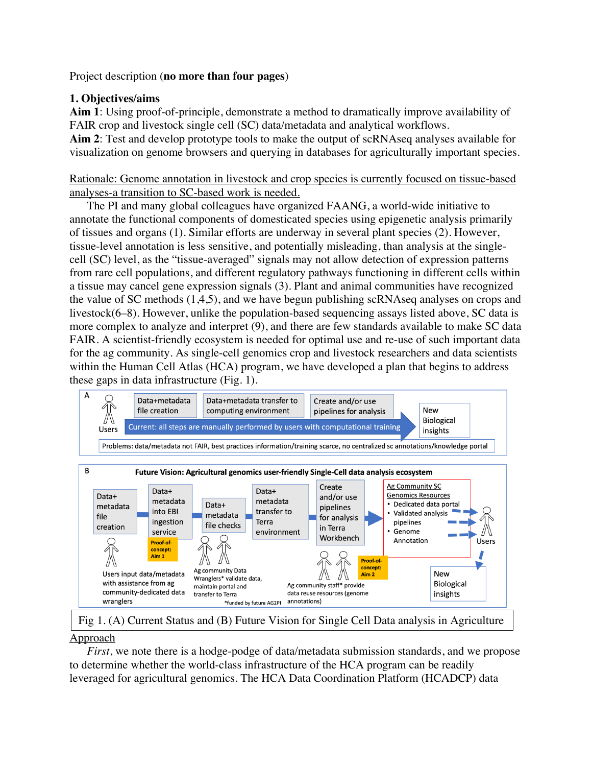Project description (**no more than four pages**)

# **1. Objectives/aims**

**Aim 1**: Using proof-of-principle, demonstrate a method to dramatically improve availability of FAIR crop and livestock single cell (SC) data/metadata and analytical workflows. **Aim 2**: Test and develop prototype tools to make the output of scRNAseq analyses available for visualization on genome browsers and querying in databases for agriculturally important species.

Rationale: Genome annotation in livestock and crop species is currently focused on tissue-based analyses-a transition to SC-based work is needed.

The PI and many global colleagues have organized FAANG, a world-wide initiative to annotate the functional components of domesticated species using epigenetic analysis primarily of tissues and organs (1). Similar efforts are underway in several plant species (2). However, tissue-level annotation is less sensitive, and potentially misleading, than analysis at the singlecell (SC) level, as the "tissue-averaged" signals may not allow detection of expression patterns from rare cell populations, and different regulatory pathways functioning in different cells within a tissue may cancel gene expression signals (3). Plant and animal communities have recognized the value of SC methods (1,4,5), and we have begun publishing scRNAseq analyses on crops and livestock(6–8). However, unlike the population-based sequencing assays listed above, SC data is more complex to analyze and interpret (9), and there are few standards available to make SC data FAIR. A scientist-friendly ecosystem is needed for optimal use and re-use of such important data for the ag community. As single-cell genomics crop and livestock researchers and data scientists within the Human Cell Atlas (HCA) program, we have developed a plan that begins to address these gaps in data infrastructure (Fig. 1).



Approach Fig 1. (A) Current Status and (B) Future Vision for Single Cell Data analysis in Agriculture

*First*, we note there is a hodge-podge of data/metadata submission standards, and we propose to determine whether the world-class infrastructure of the HCA program can be readily leveraged for agricultural genomics. The HCA Data Coordination Platform (HCADCP) data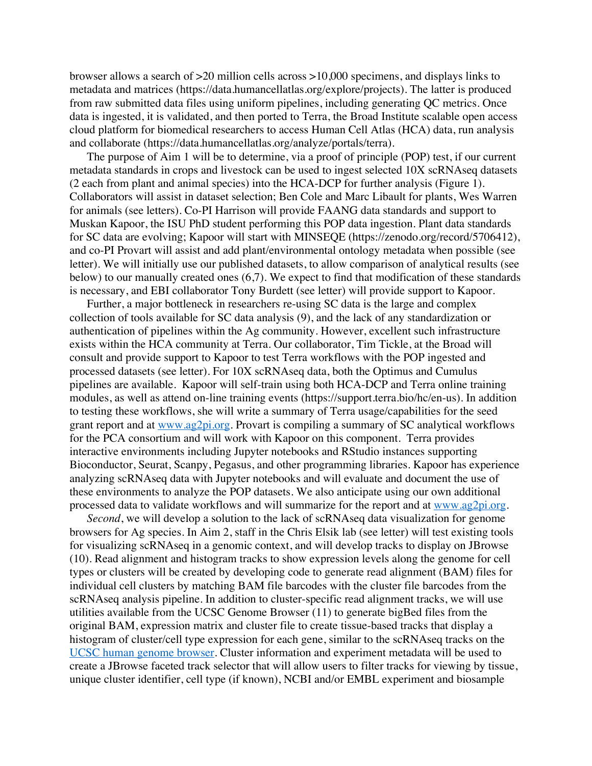browser allows a search of >20 million cells across >10,000 specimens, and displays links to metadata and matrices (https://data.humancellatlas.org/explore/projects). The latter is produced from raw submitted data files using uniform pipelines, including generating QC metrics. Once data is ingested, it is validated, and then ported to Terra, the Broad Institute scalable open access cloud platform for biomedical researchers to access Human Cell Atlas (HCA) data, run analysis and collaborate (https://data.humancellatlas.org/analyze/portals/terra).

The purpose of Aim 1 will be to determine, via a proof of principle (POP) test, if our current metadata standards in crops and livestock can be used to ingest selected 10X scRNAseq datasets (2 each from plant and animal species) into the HCA-DCP for further analysis (Figure 1). Collaborators will assist in dataset selection; Ben Cole and Marc Libault for plants, Wes Warren for animals (see letters). Co-PI Harrison will provide FAANG data standards and support to Muskan Kapoor, the ISU PhD student performing this POP data ingestion. Plant data standards for SC data are evolving; Kapoor will start with MINSEQE (https://zenodo.org/record/5706412), and co-PI Provart will assist and add plant/environmental ontology metadata when possible (see letter). We will initially use our published datasets, to allow comparison of analytical results (see below) to our manually created ones (6,7). We expect to find that modification of these standards is necessary, and EBI collaborator Tony Burdett (see letter) will provide support to Kapoor.

Further, a major bottleneck in researchers re-using SC data is the large and complex collection of tools available for SC data analysis (9), and the lack of any standardization or authentication of pipelines within the Ag community. However, excellent such infrastructure exists within the HCA community at Terra. Our collaborator, Tim Tickle, at the Broad will consult and provide support to Kapoor to test Terra workflows with the POP ingested and processed datasets (see letter). For 10X scRNAseq data, both the Optimus and Cumulus pipelines are available. Kapoor will self-train using both HCA-DCP and Terra online training modules, as well as attend on-line training events (https://support.terra.bio/hc/en-us). In addition to testing these workflows, she will write a summary of Terra usage/capabilities for the seed grant report and at www.ag2pi.org. Provart is compiling a summary of SC analytical workflows for the PCA consortium and will work with Kapoor on this component. Terra provides interactive environments including Jupyter notebooks and RStudio instances supporting Bioconductor, Seurat, Scanpy, Pegasus, and other programming libraries. Kapoor has experience analyzing scRNAseq data with Jupyter notebooks and will evaluate and document the use of these environments to analyze the POP datasets. We also anticipate using our own additional processed data to validate workflows and will summarize for the report and at www.ag2pi.org.

*Second*, we will develop a solution to the lack of scRNAseq data visualization for genome browsers for Ag species. In Aim 2, staff in the Chris Elsik lab (see letter) will test existing tools for visualizing scRNAseq in a genomic context, and will develop tracks to display on JBrowse (10). Read alignment and histogram tracks to show expression levels along the genome for cell types or clusters will be created by developing code to generate read alignment (BAM) files for individual cell clusters by matching BAM file barcodes with the cluster file barcodes from the scRNAseq analysis pipeline. In addition to cluster-specific read alignment tracks, we will use utilities available from the UCSC Genome Browser (11) to generate bigBed files from the original BAM, expression matrix and cluster file to create tissue-based tracks that display a histogram of cluster/cell type expression for each gene, similar to the scRNAseq tracks on the UCSC human genome browser. Cluster information and experiment metadata will be used to create a JBrowse faceted track selector that will allow users to filter tracks for viewing by tissue, unique cluster identifier, cell type (if known), NCBI and/or EMBL experiment and biosample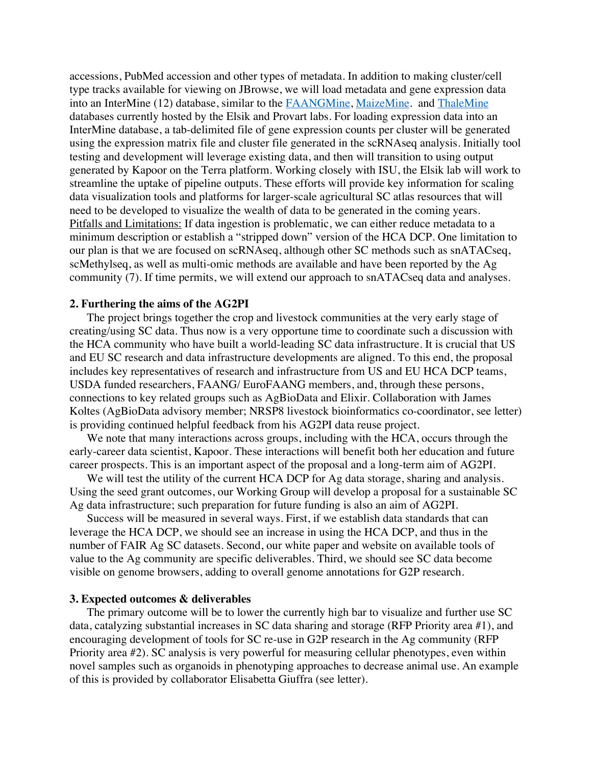accessions, PubMed accession and other types of metadata. In addition to making cluster/cell type tracks available for viewing on JBrowse, we will load metadata and gene expression data into an InterMine (12) database, similar to the FAANGMine, MaizeMine. and ThaleMine databases currently hosted by the Elsik and Provart labs. For loading expression data into an InterMine database, a tab-delimited file of gene expression counts per cluster will be generated using the expression matrix file and cluster file generated in the scRNAseq analysis. Initially tool testing and development will leverage existing data, and then will transition to using output generated by Kapoor on the Terra platform. Working closely with ISU, the Elsik lab will work to streamline the uptake of pipeline outputs. These efforts will provide key information for scaling data visualization tools and platforms for larger-scale agricultural SC atlas resources that will need to be developed to visualize the wealth of data to be generated in the coming years. Pitfalls and Limitations: If data ingestion is problematic, we can either reduce metadata to a minimum description or establish a "stripped down" version of the HCA DCP. One limitation to our plan is that we are focused on scRNAseq, although other SC methods such as snATACseq, scMethylseq, as well as multi-omic methods are available and have been reported by the Ag community (7). If time permits, we will extend our approach to snATACseq data and analyses.

#### **2. Furthering the aims of the AG2PI**

The project brings together the crop and livestock communities at the very early stage of creating/using SC data. Thus now is a very opportune time to coordinate such a discussion with the HCA community who have built a world-leading SC data infrastructure. It is crucial that US and EU SC research and data infrastructure developments are aligned. To this end, the proposal includes key representatives of research and infrastructure from US and EU HCA DCP teams, USDA funded researchers, FAANG/ EuroFAANG members, and, through these persons, connections to key related groups such as AgBioData and Elixir. Collaboration with James Koltes (AgBioData advisory member; NRSP8 livestock bioinformatics co-coordinator, see letter) is providing continued helpful feedback from his AG2PI data reuse project.

We note that many interactions across groups, including with the HCA, occurs through the early-career data scientist, Kapoor. These interactions will benefit both her education and future career prospects. This is an important aspect of the proposal and a long-term aim of AG2PI.

We will test the utility of the current HCA DCP for Ag data storage, sharing and analysis. Using the seed grant outcomes, our Working Group will develop a proposal for a sustainable SC Ag data infrastructure; such preparation for future funding is also an aim of AG2PI.

Success will be measured in several ways. First, if we establish data standards that can leverage the HCA DCP, we should see an increase in using the HCA DCP, and thus in the number of FAIR Ag SC datasets. Second, our white paper and website on available tools of value to the Ag community are specific deliverables. Third, we should see SC data become visible on genome browsers, adding to overall genome annotations for G2P research.

#### **3. Expected outcomes & deliverables**

The primary outcome will be to lower the currently high bar to visualize and further use SC data, catalyzing substantial increases in SC data sharing and storage (RFP Priority area #1), and encouraging development of tools for SC re-use in G2P research in the Ag community (RFP Priority area #2). SC analysis is very powerful for measuring cellular phenotypes, even within novel samples such as organoids in phenotyping approaches to decrease animal use. An example of this is provided by collaborator Elisabetta Giuffra (see letter).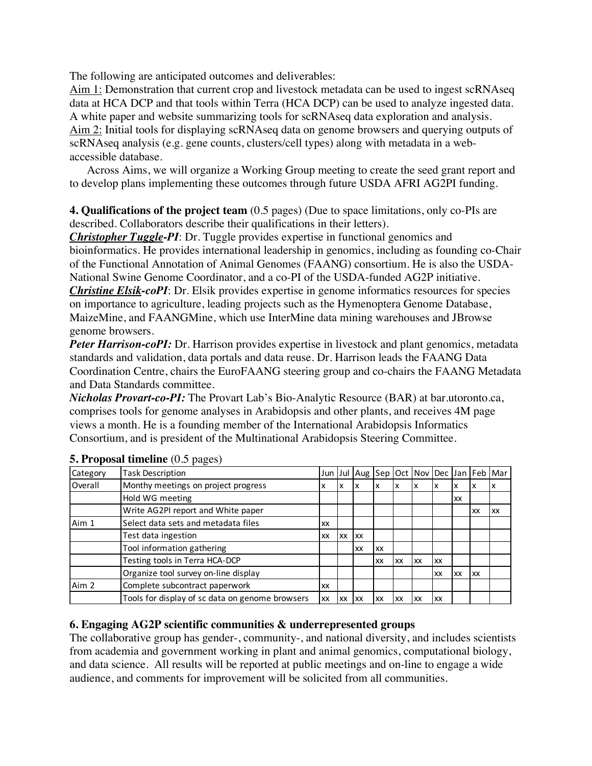The following are anticipated outcomes and deliverables:

Aim 1: Demonstration that current crop and livestock metadata can be used to ingest scRNAseq data at HCA DCP and that tools within Terra (HCA DCP) can be used to analyze ingested data. A white paper and website summarizing tools for scRNAseq data exploration and analysis. Aim 2: Initial tools for displaying scRNAseq data on genome browsers and querying outputs of scRNAseq analysis (e.g. gene counts, clusters/cell types) along with metadata in a webaccessible database.

Across Aims, we will organize a Working Group meeting to create the seed grant report and to develop plans implementing these outcomes through future USDA AFRI AG2PI funding.

**4. Qualifications of the project team** (0.5 pages) (Due to space limitations, only co-PIs are described. Collaborators describe their qualifications in their letters).

*Christopher Tuggle-PI*: Dr. Tuggle provides expertise in functional genomics and bioinformatics. He provides international leadership in genomics, including as founding co-Chair of the Functional Annotation of Animal Genomes (FAANG) consortium. He is also the USDA-National Swine Genome Coordinator, and a co-PI of the USDA-funded AG2P initiative. *Christine Elsik-coPI*: Dr. Elsik provides expertise in genome informatics resources for species on importance to agriculture, leading projects such as the Hymenoptera Genome Database, MaizeMine, and FAANGMine, which use InterMine data mining warehouses and JBrowse genome browsers.

*Peter Harrison-coPI:* Dr. Harrison provides expertise in livestock and plant genomics, metadata standards and validation, data portals and data reuse. Dr. Harrison leads the FAANG Data Coordination Centre, chairs the EuroFAANG steering group and co-chairs the FAANG Metadata and Data Standards committee.

*Nicholas Provart-co-PI:* The Provart Lab's Bio-Analytic Resource (BAR) at bar.utoronto.ca, comprises tools for genome analyses in Arabidopsis and other plants, and receives 4M page views a month. He is a founding member of the International Arabidopsis Informatics Consortium, and is president of the Multinational Arabidopsis Steering Committee.

| Category | <b>Task Description</b>                         | Jun I |           | Jul Aug Sep Oct Nov Dec Jan Feb Mar |    |    |    |    |    |           |    |
|----------|-------------------------------------------------|-------|-----------|-------------------------------------|----|----|----|----|----|-----------|----|
| Overall  | Monthy meetings on project progress             | x     | x         |                                     |    |    |    |    | х  | х         |    |
|          | Hold WG meeting                                 |       |           |                                     |    |    |    |    | XX |           |    |
|          | Write AG2PI report and White paper              |       |           |                                     |    |    |    |    |    | XX        | XX |
| Aim 1    | Select data sets and metadata files             | XX    |           |                                     |    |    |    |    |    |           |    |
|          | Test data ingestion                             | XX    | <b>XX</b> | XX                                  |    |    |    |    |    |           |    |
|          | Tool information gathering                      |       |           | XX                                  | XX |    |    |    |    |           |    |
|          | Testing tools in Terra HCA-DCP                  |       |           |                                     | XX | XX | XX | XX |    |           |    |
|          | Organize tool survey on-line display            |       |           |                                     |    |    |    | XX | XX | <b>XX</b> |    |
| Aim 2    | Complete subcontract paperwork                  | XX    |           |                                     |    |    |    |    |    |           |    |
|          | Tools for display of sc data on genome browsers | XX    | <b>XX</b> | XX                                  | XX | XX | XX | XX |    |           |    |

## **5. Proposal timeline** (0.5 pages)

## **6. Engaging AG2P scientific communities & underrepresented groups**

The collaborative group has gender-, community-, and national diversity, and includes scientists from academia and government working in plant and animal genomics, computational biology, and data science. All results will be reported at public meetings and on-line to engage a wide audience, and comments for improvement will be solicited from all communities.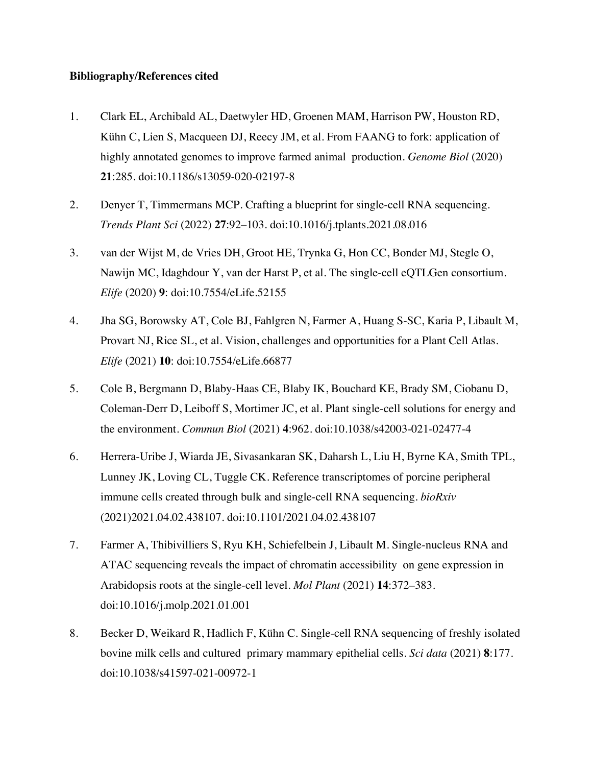### **Bibliography/References cited**

- 1. Clark EL, Archibald AL, Daetwyler HD, Groenen MAM, Harrison PW, Houston RD, Kühn C, Lien S, Macqueen DJ, Reecy JM, et al. From FAANG to fork: application of highly annotated genomes to improve farmed animal production. *Genome Biol* (2020) **21**:285. doi:10.1186/s13059-020-02197-8
- 2. Denyer T, Timmermans MCP. Crafting a blueprint for single-cell RNA sequencing. *Trends Plant Sci* (2022) **27**:92–103. doi:10.1016/j.tplants.2021.08.016
- 3. van der Wijst M, de Vries DH, Groot HE, Trynka G, Hon CC, Bonder MJ, Stegle O, Nawijn MC, Idaghdour Y, van der Harst P, et al. The single-cell eQTLGen consortium. *Elife* (2020) **9**: doi:10.7554/eLife.52155
- 4. Jha SG, Borowsky AT, Cole BJ, Fahlgren N, Farmer A, Huang S-SC, Karia P, Libault M, Provart NJ, Rice SL, et al. Vision, challenges and opportunities for a Plant Cell Atlas. *Elife* (2021) **10**: doi:10.7554/eLife.66877
- 5. Cole B, Bergmann D, Blaby-Haas CE, Blaby IK, Bouchard KE, Brady SM, Ciobanu D, Coleman-Derr D, Leiboff S, Mortimer JC, et al. Plant single-cell solutions for energy and the environment. *Commun Biol* (2021) **4**:962. doi:10.1038/s42003-021-02477-4
- 6. Herrera-Uribe J, Wiarda JE, Sivasankaran SK, Daharsh L, Liu H, Byrne KA, Smith TPL, Lunney JK, Loving CL, Tuggle CK. Reference transcriptomes of porcine peripheral immune cells created through bulk and single-cell RNA sequencing. *bioRxiv* (2021)2021.04.02.438107. doi:10.1101/2021.04.02.438107
- 7. Farmer A, Thibivilliers S, Ryu KH, Schiefelbein J, Libault M. Single-nucleus RNA and ATAC sequencing reveals the impact of chromatin accessibility on gene expression in Arabidopsis roots at the single-cell level. *Mol Plant* (2021) **14**:372–383. doi:10.1016/j.molp.2021.01.001
- 8. Becker D, Weikard R, Hadlich F, Kühn C. Single-cell RNA sequencing of freshly isolated bovine milk cells and cultured primary mammary epithelial cells. *Sci data* (2021) **8**:177. doi:10.1038/s41597-021-00972-1